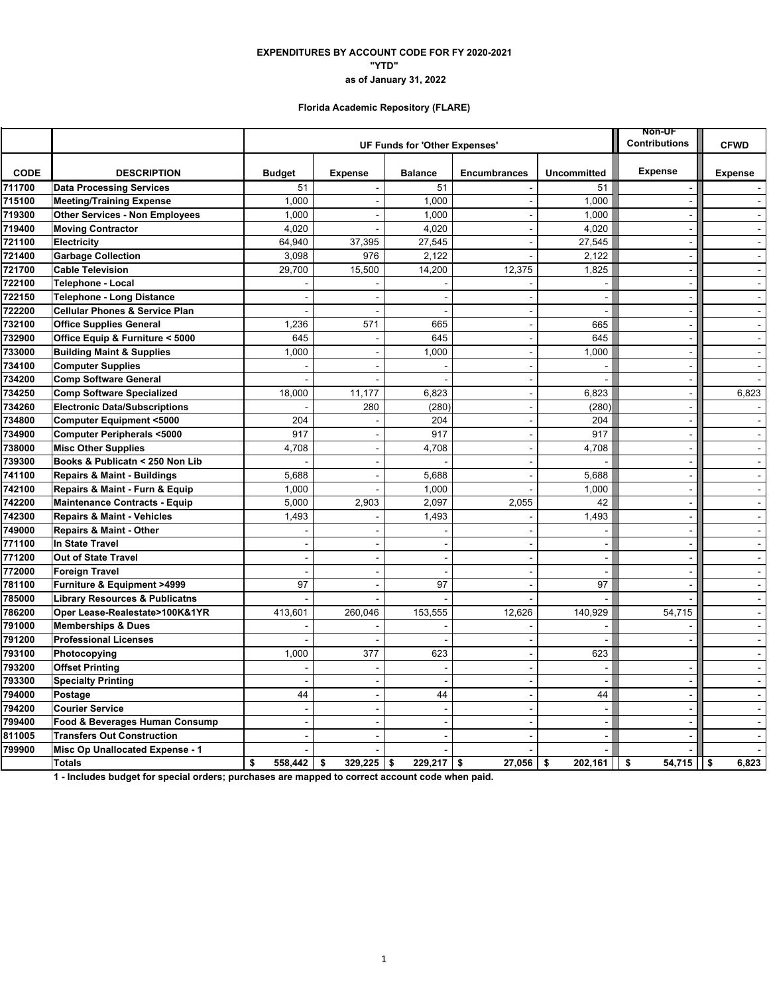# **EXPENDITURES BY ACCOUNT CODE FOR FY 2020-2021 "YTD" as of January 31, 2022**

## **Florida Academic Repository (FLARE)**

|             |                                           |                | <b>NON-UF</b><br><b>Contributions</b> | <b>CFWD</b>              |                     |                          |                       |                |                |
|-------------|-------------------------------------------|----------------|---------------------------------------|--------------------------|---------------------|--------------------------|-----------------------|----------------|----------------|
|             |                                           |                | UF Funds for 'Other Expenses'         |                          |                     |                          |                       |                |                |
| <b>CODE</b> | <b>DESCRIPTION</b>                        | <b>Budget</b>  | <b>Expense</b>                        | <b>Balance</b>           | <b>Encumbrances</b> | <b>Uncommitted</b>       | <b>Expense</b>        | <b>Expense</b> |                |
| 711700      | <b>Data Processing Services</b>           | 51             |                                       | 51                       |                     | 51                       |                       |                |                |
| 715100      | <b>Meeting/Training Expense</b>           | 1,000          |                                       | 1,000                    | $\sim$              | 1,000                    | $\sim$                |                | $\sim$         |
| 719300      | <b>Other Services - Non Employees</b>     | 1,000          |                                       | 1,000                    |                     | 1,000                    |                       |                | $\omega$       |
| 719400      | <b>Moving Contractor</b>                  | 4,020          |                                       | 4,020                    |                     | 4,020                    |                       |                | $\sim$         |
| 721100      | Electricity                               | 64,940         | 37,395                                | 27,545                   |                     | 27,545                   | $\overline{a}$        |                | $\sim$         |
| 721400      | <b>Garbage Collection</b>                 | 3,098          | 976                                   | 2,122                    |                     | 2,122                    |                       |                | $\blacksquare$ |
| 721700      | <b>Cable Television</b>                   | 29,700         | 15,500                                | 14,200                   | 12,375              | 1,825                    | $\sim$                |                | $\blacksquare$ |
| 722100      | <b>Telephone - Local</b>                  |                |                                       |                          |                     | $\sim$                   | $\sim$                |                | $\omega$       |
| 722150      | <b>Telephone - Long Distance</b>          |                |                                       |                          |                     | $\blacksquare$           |                       |                | $\Delta$       |
| 722200      | <b>Cellular Phones &amp; Service Plan</b> |                |                                       |                          |                     | $\overline{a}$           | $\blacksquare$        |                | $\sim$         |
| 732100      | <b>Office Supplies General</b>            | 1,236          | 571                                   | 665                      | $\blacksquare$      | 665                      | $\sim$                |                | $\blacksquare$ |
| 732900      | Office Equip & Furniture < 5000           | 645            |                                       | 645                      | $\blacksquare$      | 645                      | $\blacksquare$        |                | $\blacksquare$ |
| 733000      | <b>Building Maint &amp; Supplies</b>      | 1,000          | $\sim$                                | 1,000                    | $\blacksquare$      | 1,000                    | $\sim$                |                | $\blacksquare$ |
| 734100      | <b>Computer Supplies</b>                  |                |                                       |                          | $\sim$              |                          | $\sim$                |                | $\omega$       |
| 734200      | <b>Comp Software General</b>              |                |                                       |                          | $\blacksquare$      |                          | $\blacksquare$        |                | $\omega$       |
| 734250      | <b>Comp Software Specialized</b>          | 18,000         | 11,177                                | 6,823                    | $\blacksquare$      | 6,823                    | $\tilde{\phantom{a}}$ |                | 6,823          |
| 734260      | <b>Electronic Data/Subscriptions</b>      |                | 280                                   | (280)                    | $\blacksquare$      | (280)                    | $\blacksquare$        |                |                |
| 734800      | <b>Computer Equipment &lt;5000</b>        | 204            |                                       | 204                      | $\blacksquare$      | 204                      | $\blacksquare$        |                | $\sim$         |
| 734900      | <b>Computer Peripherals &lt;5000</b>      | 917            |                                       | 917                      | $\sim$              | 917                      | $\overline{a}$        |                | $\sim$         |
| 738000      | <b>Misc Other Supplies</b>                | 4,708          |                                       | 4,708                    | $\blacksquare$      | 4,708                    | ÷,                    |                | $\omega$       |
| 739300      | Books & Publicatn < 250 Non Lib           |                |                                       |                          | $\blacksquare$      |                          | $\sim$                |                | $\Delta$       |
| 741100      | Repairs & Maint - Buildings               | 5,688          |                                       | 5,688                    | $\overline{a}$      | 5,688                    | $\tilde{\phantom{a}}$ |                | $\omega$       |
| 742100      | Repairs & Maint - Furn & Equip            | 1,000          |                                       | 1,000                    |                     | 1,000                    | $\sim$                |                | $\blacksquare$ |
| 742200      | <b>Maintenance Contracts - Equip</b>      | 5,000          | 2,903                                 | 2,097                    | 2,055               | 42                       | $\overline{a}$        |                | $\sim$         |
| 742300      | <b>Repairs &amp; Maint - Vehicles</b>     | 1,493          |                                       | 1,493                    |                     | 1,493                    |                       |                | $\omega$       |
| 749000      | <b>Repairs &amp; Maint - Other</b>        |                |                                       |                          |                     |                          | $\sim$                |                | $\mathbf{r}$   |
| 771100      | In State Travel                           |                |                                       |                          |                     | $\sim$                   |                       |                | $\sim$         |
| 771200      | Out of State Travel                       |                |                                       |                          |                     | $\sim$                   | $\blacksquare$        |                | $\blacksquare$ |
| 772000      | <b>Foreign Travel</b>                     |                |                                       |                          |                     | $\blacksquare$           | ÷                     |                | $\sim$         |
| 781100      | Furniture & Equipment >4999               | 97             | $\overline{\phantom{a}}$              | 97                       | $\sim$              | 97                       | $\blacksquare$        |                | $\blacksquare$ |
| 785000      | <b>Library Resources &amp; Publicatns</b> |                |                                       |                          |                     |                          |                       |                | $\blacksquare$ |
| 786200      | Oper Lease-Realestate>100K&1YR            | 413,601        | 260,046                               | 153,555                  | 12,626              | 140,929                  | 54,715                |                | $\sim$         |
| 791000      | <b>Memberships &amp; Dues</b>             |                |                                       |                          |                     |                          |                       |                | $\blacksquare$ |
| 791200      | <b>Professional Licenses</b>              |                |                                       |                          |                     |                          |                       |                | $\blacksquare$ |
| 793100      | Photocopying                              | 1,000          | 377                                   | 623                      | $\sim$              | 623                      |                       |                | $\sim$         |
| 793200      | <b>Offset Printing</b>                    |                |                                       | ÷                        | $\sim$              | $\sim$                   |                       |                | $\blacksquare$ |
| 793300      | <b>Specialty Printing</b>                 |                |                                       |                          |                     |                          | $\overline{a}$        |                | $\omega$       |
| 794000      | Postage                                   | 44             | $\overline{a}$                        | 44                       | $\blacksquare$      | 44                       | $\sim$                |                | $\sim$         |
| 794200      | <b>Courier Service</b>                    |                |                                       |                          |                     |                          |                       |                | $\blacksquare$ |
| 799400      | Food & Beverages Human Consump            | $\blacksquare$ | $\overline{\phantom{a}}$              | $\overline{\phantom{a}}$ | $\sim$              | $\overline{\phantom{a}}$ | $\blacksquare$        |                | $\blacksquare$ |
| 811005      | <b>Transfers Out Construction</b>         |                |                                       |                          |                     | $\overline{a}$           |                       |                | $\sim$         |
| 799900      | Misc Op Unallocated Expense - 1           |                |                                       |                          |                     |                          |                       |                | $\mathbf{r}$   |
|             | <b>Totals</b>                             | \$<br>558,442  | \$<br>$329,225$ \$                    | $229,217$ \$             | 27,056              | 202,161<br>\$            | $54,715$   \$<br>\$   |                | 6,823          |

**1 - Includes budget for special orders; purchases are mapped to correct account code when paid.**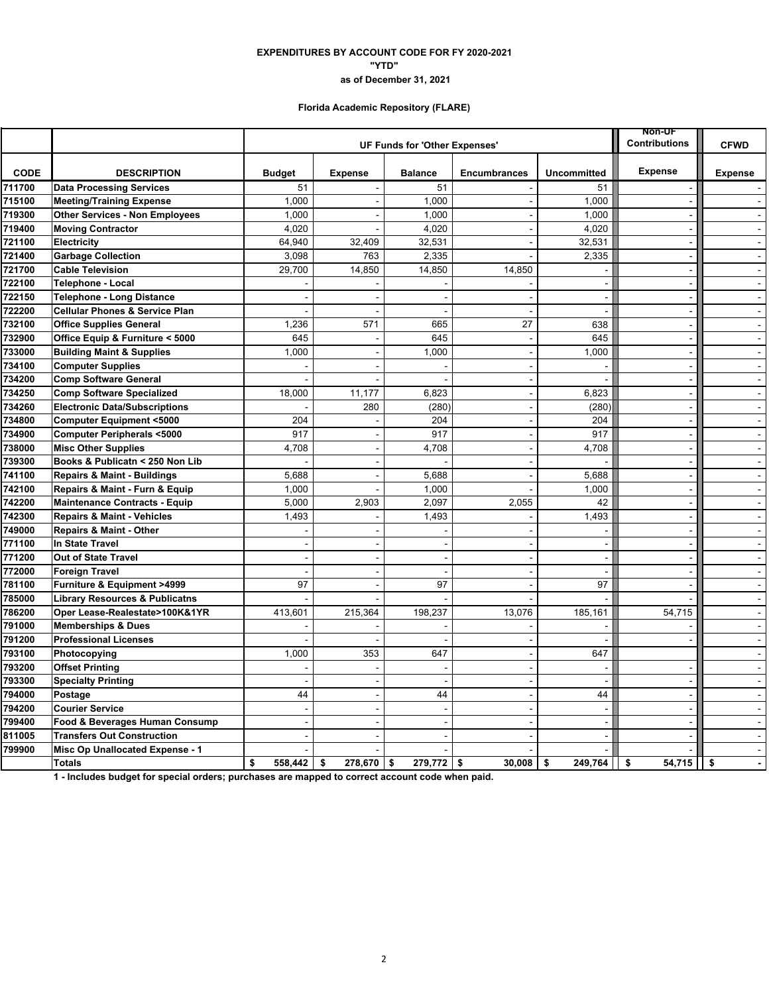### **"YTD" EXPENDITURES BY ACCOUNT CODE FOR FY 2020-2021 as of December 31, 2021**

## **Florida Academic Repository (FLARE)**

|             |                                           |                          | UF Funds for 'Other Expenses' | Non-UF<br><b>Contributions</b> | <b>CFWD</b>              |                          |                          |                |
|-------------|-------------------------------------------|--------------------------|-------------------------------|--------------------------------|--------------------------|--------------------------|--------------------------|----------------|
|             |                                           |                          |                               |                                |                          |                          |                          |                |
| <b>CODE</b> | <b>DESCRIPTION</b>                        | <b>Budget</b>            | <b>Expense</b>                | <b>Balance</b>                 | <b>Encumbrances</b>      | <b>Uncommitted</b>       | <b>Expense</b>           | <b>Expense</b> |
| 711700      | <b>Data Processing Services</b>           | 51                       |                               | 51                             |                          | 51                       |                          |                |
| 715100      | <b>Meeting/Training Expense</b>           | 1,000                    |                               | 1,000                          | $\sim$                   | 1,000                    |                          | $\sim$         |
| 719300      | <b>Other Services - Non Employees</b>     | 1,000                    |                               | 1,000                          |                          | 1,000                    |                          | $\mathbf{r}$   |
| 719400      | <b>Moving Contractor</b>                  | 4,020                    |                               | 4,020                          | $\sim$                   | 4,020                    | $\sim$                   | $\sim$         |
| 721100      | Electricity                               | 64.940                   | 32,409                        | 32,531                         |                          | 32,531                   |                          | $\omega$       |
| 721400      | <b>Garbage Collection</b>                 | 3,098                    | 763                           | 2,335                          |                          | 2,335                    | $\sim$                   | $\blacksquare$ |
| 721700      | <b>Cable Television</b>                   | 29,700                   | 14,850                        | 14,850                         | 14,850                   | $\sim$                   | $\sim$                   | $\blacksquare$ |
| 722100      | Telephone - Local                         |                          |                               |                                |                          | $\sim$                   | $\sim$                   | $\omega$       |
| 722150      | <b>Telephone - Long Distance</b>          |                          |                               |                                |                          | $\blacksquare$           | $\sim$                   | $\Delta$       |
| 722200      | <b>Cellular Phones &amp; Service Plan</b> |                          |                               | ÷                              |                          | $\sim$                   | $\sim$                   | $\sim$         |
| 732100      | <b>Office Supplies General</b>            | 1,236                    | 571                           | 665                            | 27                       | 638                      | $\sim$                   | $\blacksquare$ |
| 732900      | Office Equip & Furniture < 5000           | 645                      |                               | 645                            |                          | 645                      | $\sim$                   | $\omega$       |
| 733000      | <b>Building Maint &amp; Supplies</b>      | 1,000                    | $\overline{\phantom{0}}$      | 1,000                          | $\blacksquare$           | 1,000                    | $\blacksquare$           | $\blacksquare$ |
| 734100      | <b>Computer Supplies</b>                  |                          |                               |                                | $\sim$                   |                          | $\sim$                   | $\blacksquare$ |
| 734200      | <b>Comp Software General</b>              |                          |                               |                                | $\blacksquare$           |                          | $\blacksquare$           | $\blacksquare$ |
| 734250      | <b>Comp Software Specialized</b>          | 18,000                   | 11,177                        | 6,823                          | $\ddot{\phantom{1}}$     | 6,823                    | $\blacksquare$           | $\sim$         |
| 734260      | <b>Electronic Data/Subscriptions</b>      |                          | 280                           | (280)                          | ÷,                       | (280)                    | $\tilde{\phantom{a}}$    | $\blacksquare$ |
| 734800      | <b>Computer Equipment &lt;5000</b>        | 204                      |                               | 204                            | $\sim$                   | 204                      | $\sim$                   | $\blacksquare$ |
| 734900      | <b>Computer Peripherals &lt;5000</b>      | 917                      |                               | 917                            | $\sim$                   | 917                      | $\sim$                   | $\sim$         |
| 738000      | <b>Misc Other Supplies</b>                | 4,708                    |                               | 4,708                          | $\blacksquare$           | 4,708                    |                          | $\omega$       |
| 739300      | Books & Publicatn < 250 Non Lib           |                          |                               |                                | $\sim$                   |                          | $\sim$                   | $\sim$         |
| 741100      | <b>Repairs &amp; Maint - Buildings</b>    | 5,688                    |                               | 5.688                          | $\overline{\phantom{a}}$ | 5,688                    | $\sim$                   | $\sim$         |
| 742100      | Repairs & Maint - Furn & Equip            | 1,000                    |                               | 1.000                          |                          | 1,000                    | $\blacksquare$           | $\blacksquare$ |
| 742200      | <b>Maintenance Contracts - Equip</b>      | 5,000                    | 2,903                         | 2,097                          | 2,055                    | 42                       | $\overline{a}$           | $\sim$         |
| 742300      | <b>Repairs &amp; Maint - Vehicles</b>     | 1,493                    | $\sim$                        | 1,493                          | $\sim$                   | 1,493                    | $\sim$                   | $\blacksquare$ |
| 749000      | <b>Repairs &amp; Maint - Other</b>        |                          |                               |                                |                          |                          | $\overline{\phantom{a}}$ | $\blacksquare$ |
| 771100      | In State Travel                           |                          |                               |                                |                          | $\sim$                   | $\blacksquare$           | $\sim$         |
| 771200      | <b>Out of State Travel</b>                |                          |                               |                                | $\overline{a}$           | $\overline{a}$           |                          | $\omega$       |
| 772000      | <b>Foreign Travel</b>                     |                          |                               |                                |                          | $\overline{\phantom{a}}$ | $\sim$                   | $\blacksquare$ |
| 781100      | Furniture & Equipment >4999               | 97                       | $\overline{\phantom{a}}$      | 97                             | $\sim$                   | 97                       | $\sim$                   | $\sim$         |
| 785000      | <b>Library Resources &amp; Publicatns</b> |                          |                               |                                |                          |                          |                          | $\omega$       |
| 786200      | Oper Lease-Realestate>100K&1YR            | 413,601                  | 215,364                       | 198,237                        | 13,076                   | 185,161                  | 54,715                   | $\mathbf{r}$   |
| 791000      | <b>Memberships &amp; Dues</b>             |                          |                               |                                |                          |                          |                          | $\sim$         |
| 791200      | <b>Professional Licenses</b>              |                          |                               |                                |                          |                          |                          |                |
| 793100      | Photocopying                              | 1,000                    | 353                           | 647                            | $\sim$                   | 647                      |                          | $\sim$         |
| 793200      | <b>Offset Printing</b>                    |                          |                               | ÷                              | $\sim$                   | $\sim$                   | $\sim$                   | $\sim$         |
| 793300      | <b>Specialty Printing</b>                 |                          | $\sim$                        | Ĭ.                             | $\blacksquare$           | $\sim$                   | $\sim$                   | $\omega$       |
| 794000      | Postage                                   | 44                       |                               | 44                             | $\overline{a}$           | 44                       | $\sim$                   | $\Delta$       |
| 794200      | <b>Courier Service</b>                    |                          | $\sim$                        | $\overline{a}$                 | $\overline{a}$           | $\sim$                   | $\overline{a}$           | $\sim$         |
| 799400      | Food & Beverages Human Consump            | $\overline{\phantom{a}}$ |                               |                                | $\overline{a}$           | $\blacksquare$           | $\tilde{\phantom{a}}$    | $\blacksquare$ |
| 811005      | <b>Transfers Out Construction</b>         |                          |                               |                                |                          | $\blacksquare$           |                          | $\sim$         |
| 799900      | Misc Op Unallocated Expense - 1           |                          |                               |                                |                          |                          |                          | $\sim$         |
|             | <b>Totals</b>                             | \$<br>558,442            | 278.670<br>\$                 | \$<br>$279.772$ \$             | 30,008                   | 249.764<br>\$            | 54,715<br>\$             | ll \$          |

**1 - Includes budget for special orders; purchases are mapped to correct account code when paid.**